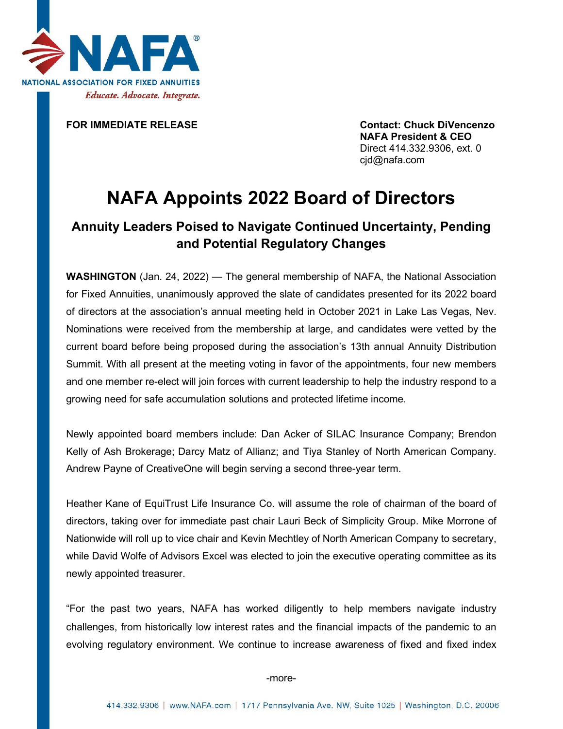

**FOR IMMEDIATE RELEASE Contact: Chuck DiVencenzo NAFA President & CEO** Direct 414.332.9306, ext. 0 cjd@nafa.com

## **NAFA Appoints 2022 Board of Directors**

## **Annuity Leaders Poised to Navigate Continued Uncertainty, Pending and Potential Regulatory Changes**

**WASHINGTON** (Jan. 24, 2022) — The general membership of NAFA, the National Association for Fixed Annuities, unanimously approved the slate of candidates presented for its 2022 board of directors at the association's annual meeting held in October 2021 in Lake Las Vegas, Nev. Nominations were received from the membership at large, and candidates were vetted by the current board before being proposed during the association's 13th annual Annuity Distribution Summit. With all present at the meeting voting in favor of the appointments, four new members and one member re-elect will join forces with current leadership to help the industry respond to a growing need for safe accumulation solutions and protected lifetime income.

Newly appointed board members include: Dan Acker of SILAC Insurance Company; Brendon Kelly of Ash Brokerage; Darcy Matz of Allianz; and Tiya Stanley of North American Company. Andrew Payne of CreativeOne will begin serving a second three-year term.

Heather Kane of EquiTrust Life Insurance Co. will assume the role of chairman of the board of directors, taking over for immediate past chair Lauri Beck of Simplicity Group. Mike Morrone of Nationwide will roll up to vice chair and Kevin Mechtley of North American Company to secretary, while David Wolfe of Advisors Excel was elected to join the executive operating committee as its newly appointed treasurer.

"For the past two years, NAFA has worked diligently to help members navigate industry challenges, from historically low interest rates and the financial impacts of the pandemic to an evolving regulatory environment. We continue to increase awareness of fixed and fixed index

-more-